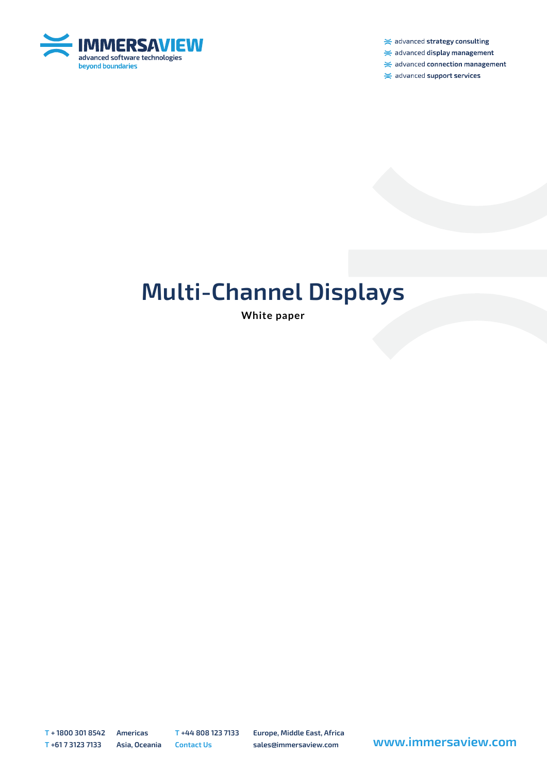

 $\ge$  advanced strategy consulting

 $\ge$  advanced display management

 $\ge$  advanced connection management

 $\ge$  advanced support services

# **Multi-Channel Displays**

**White paper**

**T + 1800 301 8542 Americas T +44 808 123 7133 Europe, Middle East, Africa**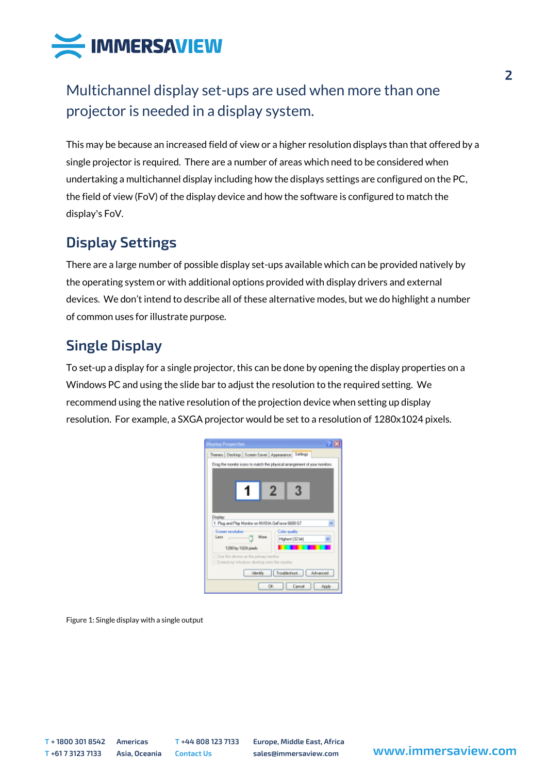

# Multichannel display set-ups are used when more than one projector is needed in a display system.

This may be because an increased field of view or a higher resolution displays than that offered by a single projector is required. There are a number of areas which need to be considered when undertaking a multichannel display including how the displays settings are configured on the PC, the field of view (FoV) of the display device and how the software is configured to match the display's FoV.

# **Display Settings**

There are a large number of possible display set-ups available which can be provided natively by the operating system or with additional options provided with display drivers and external devices. We don't intend to describe all of these alternative modes, but we do highlight a number of common uses for illustrate purpose.

# **Single Display**

To set-up a display for a single projector, this can be done by opening the display properties on a Windows PC and using the slide bar to adjust the resolution to the required setting. We recommend using the native resolution of the projection device when setting up display resolution. For example, a SXGA projector would be set to a resolution of 1280x1024 pixels.

| 2N<br><b>Display Properties</b>                                               |  |  |  |  |
|-------------------------------------------------------------------------------|--|--|--|--|
| Themes Desktop Screen Saver Appearance Settings                               |  |  |  |  |
| Drag the monitor icons to match the physical arrangement of your monitors.    |  |  |  |  |
|                                                                               |  |  |  |  |
|                                                                               |  |  |  |  |
|                                                                               |  |  |  |  |
|                                                                               |  |  |  |  |
|                                                                               |  |  |  |  |
| Display:                                                                      |  |  |  |  |
| 1. Plug and Play Monitor on NVIDIA GeForce 6600 GT                            |  |  |  |  |
| Screen recolution<br><b>Color quality</b><br>More<br>Less<br>Highest (32 bit) |  |  |  |  |
| .<br>1200 by 1024 pasels                                                      |  |  |  |  |
| V Use this device as the primary monitor.                                     |  |  |  |  |
| V Extend my Windows desktop anto this monitor.                                |  |  |  |  |
| Troubleshoot.<br>Advanced<br><b>Identify</b>                                  |  |  |  |  |
| OK.<br>Cancel<br>Acols                                                        |  |  |  |  |

Figure 1: Single display with a single output

**T + 1800 301 8542 Americas T +44 808 123 7133 Europe, Middle East, Africa**

**<sup>T</sup> +61 7 3123 7133 Asia, Oceania Contact Us sales@immersaview.com www.immersaview.com**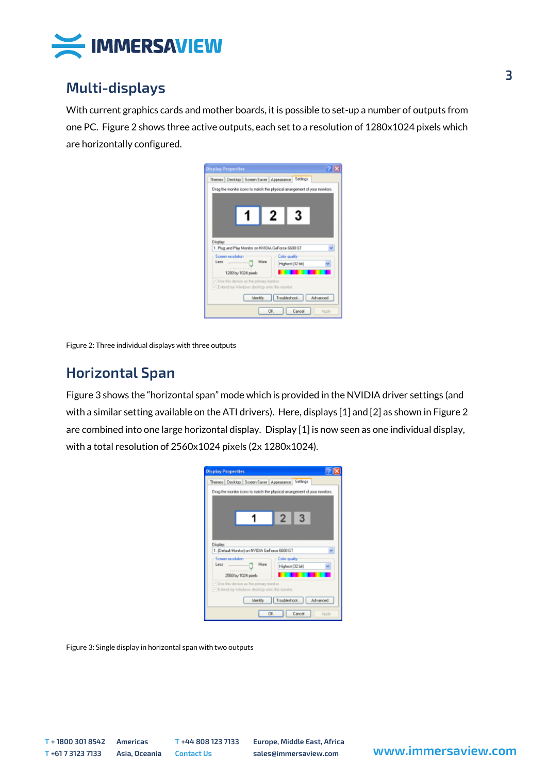

#### **Multi-displays**

With current graphics cards and mother boards, it is possible to set-up a number of outputs from one PC. Figure 2 shows three active outputs, each set to a resolution of 1280x1024 pixels which are horizontally configured.

| 2 B<br><b>Display Properties</b>                                                            |  |  |  |  |
|---------------------------------------------------------------------------------------------|--|--|--|--|
| Themes Desktop Screen Saver Appearance Settings                                             |  |  |  |  |
| Drag the monitor icons to match the physical arrangement of your monitors.                  |  |  |  |  |
|                                                                                             |  |  |  |  |
|                                                                                             |  |  |  |  |
| 3<br>2                                                                                      |  |  |  |  |
|                                                                                             |  |  |  |  |
|                                                                                             |  |  |  |  |
| Display:                                                                                    |  |  |  |  |
| 1. Plug and Play Monitor on NVIDIA GeForce 6600 GT                                          |  |  |  |  |
| Screen recolution<br><b>Color quality</b><br>More<br>Less                                   |  |  |  |  |
| Highest (32 bit)<br>                                                                        |  |  |  |  |
| 1200 by 1024 pixels                                                                         |  |  |  |  |
| V Use this device as the primary monitor.<br>V Extend my Windows desktop anto this monitor. |  |  |  |  |
| Troubleshoot. Advanced<br><b>Identify</b>                                                   |  |  |  |  |
|                                                                                             |  |  |  |  |
| OK.<br>Cancel<br>Apply                                                                      |  |  |  |  |

Figure 2: Three individual displays with three outputs

#### **Horizontal Span**

Figure 3 shows the "horizontal span" mode which is provided in the NVIDIA driver settings (and with a similar setting available on the ATI drivers). Here, displays [1] and [2] as shown in Figure 2 are combined into one large horizontal display. Display [1] is now seen as one individual display, with a total resolution of 2560x1024 pixels (2x 1280x1024).

| <b>Display Properties</b>                                                                   |  |  |
|---------------------------------------------------------------------------------------------|--|--|
| Themes Desktop Screen Saver Appearance Settings                                             |  |  |
| Drag the monitor icons to match the physical arrangement of your monitors.                  |  |  |
|                                                                                             |  |  |
|                                                                                             |  |  |
| 3                                                                                           |  |  |
|                                                                                             |  |  |
|                                                                                             |  |  |
| Display:<br>1. (Default Manitor) on NVIDIA GeForce 6600 GT                                  |  |  |
| Screen recolution<br><b>Color quality</b>                                                   |  |  |
| Mare<br>Less<br>Highest (32 bit)<br>                                                        |  |  |
| 2560 by 1024 pixels                                                                         |  |  |
| V Use this device as the primary monitor.<br>V Extend my Windows desktop anto this monitor. |  |  |
|                                                                                             |  |  |
| Troubleshoot. Advanced<br><b>Identify</b>                                                   |  |  |
| OK<br>Cancel<br>Apply                                                                       |  |  |

Figure 3: Single display in horizontal span with two outputs

**T + 1800 301 8542 Americas T +44 808 123 7133 Europe, Middle East, Africa**

**<sup>T</sup> +61 7 3123 7133 Asia, Oceania Contact Us sales@immersaview.com www.immersaview.com**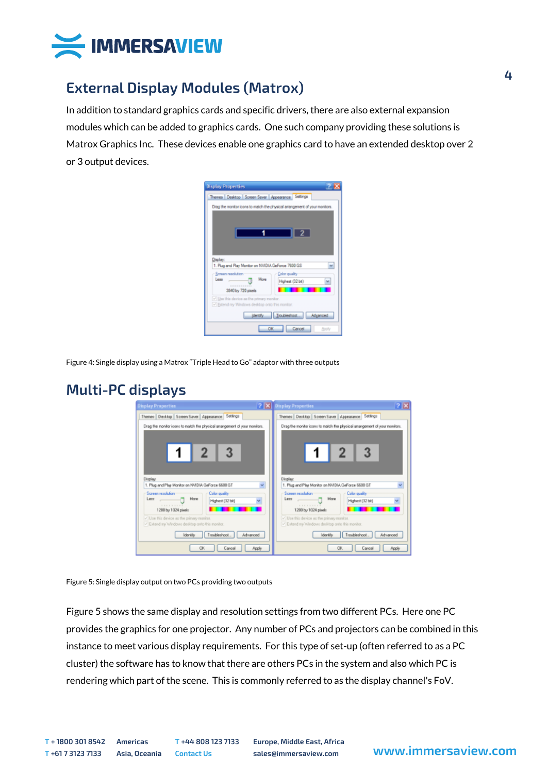

## **External Display Modules (Matrox)**

In addition to standard graphics cards and specific drivers, there are also external expansion modules which can be added to graphics cards. One such company providing these solutions is Matrox Graphics Inc. These devices enable one graphics card to have an extended desktop over 2 or 3 output devices.

| <b>Display Properties</b>                                                  |  |  |  |  |
|----------------------------------------------------------------------------|--|--|--|--|
| Themes Desktop Screen Saver Appearance Settings                            |  |  |  |  |
| Drag the monitor icons to match the physical arrangement of your monitors. |  |  |  |  |
|                                                                            |  |  |  |  |
|                                                                            |  |  |  |  |
|                                                                            |  |  |  |  |
|                                                                            |  |  |  |  |
|                                                                            |  |  |  |  |
| Daplay:                                                                    |  |  |  |  |
| 1. Plug and Play Monitor on NVIDIA GeForce 7600 GS<br>u                    |  |  |  |  |
| Screen reachtion<br>Color quality                                          |  |  |  |  |
| More<br>Less<br>Highest (32 bit)                                           |  |  |  |  |
| 3840 by 720 pixels                                                         |  |  |  |  |
| V Use this device as the primary monitor.                                  |  |  |  |  |
| V Extend my Windows desidop onto this monitor.                             |  |  |  |  |
| Toubleshoot<br>identify<br>Advanced                                        |  |  |  |  |
| Cancel<br>OK<br><b>Apply</b>                                               |  |  |  |  |

Figure 4: Single display using a Matrox "Triple Head to Go" adaptor with three outputs

### **Multi-PC displays**

| <b>Display Properties</b>                                                                                 | $2 \times$<br>? X Display Properties                                                                        |  |
|-----------------------------------------------------------------------------------------------------------|-------------------------------------------------------------------------------------------------------------|--|
| Themes Desktop Screen Saver Appearance Settings                                                           | Themes Desktop Screen Saver Appearance Settings                                                             |  |
| Drag the monitor icons to match the physical arrangement of your monitors.                                | Drag the monitor icons to match the physical arrangement of your monitors.                                  |  |
| Display:                                                                                                  | Display.                                                                                                    |  |
| 1. Plug and Play Monitor on NVIDIA GeForce 6600 GT                                                        | 1. Plug and Play Monitor on NVIDIA GeForce 6600 GT                                                          |  |
| Screen recolution<br><b>Color quality</b><br>Mare<br>Lett<br>Highest (32 bit)<br>.<br>1200 by 1024 pixels | Screen recolution<br><b>Color quality</b><br>Mare<br>Lett<br>Highest (32 bit)<br>. 7<br>1200 by 1024 pixels |  |
| V Use this device as the primary monitor.                                                                 | V Use this device as the primary monitor.                                                                   |  |
| V Extend my Windows desktop anto this monitor.                                                            | V Extend my Windows desktop anto this monitor.                                                              |  |
| Troubleshoot.                                                                                             | Troubleshoot.                                                                                               |  |
| Advanced                                                                                                  | Advanced                                                                                                    |  |
| Identify                                                                                                  | <b>Identifs</b>                                                                                             |  |
| Cancel                                                                                                    | Cancel                                                                                                      |  |
| OK.                                                                                                       | OK.                                                                                                         |  |
| Apply                                                                                                     | Acoly                                                                                                       |  |

Figure 5: Single display output on two PCs providing two outputs

Figure 5 shows the same display and resolution settings from two different PCs. Here one PC provides the graphics for one projector. Any number of PCs and projectors can be combined in this instance to meet various display requirements. For this type of set-up (often referred to as a PC cluster) the software has to know that there are others PCs in the system and also which PC is rendering which part of the scene. This is commonly referred to as the display channel's FoV.

**T + 1800 301 8542 Americas T +44 808 123 7133 Europe, Middle East, Africa**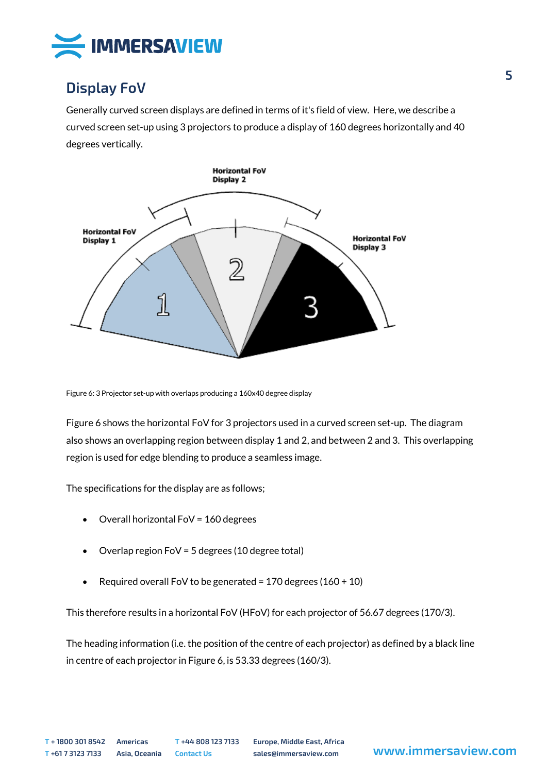

## **Display FoV**

Generally curved screen displays are defined in terms of it's field of view. Here, we describe a curved screen set-up using 3 projectors to produce a display of 160 degrees horizontally and 40 degrees vertically.



Figure 6: 3 Projector set-up with overlaps producing a 160x40 degree display

Figure 6 shows the horizontal FoV for 3 projectors used in a curved screen set-up. The diagram also shows an overlapping region between display 1 and 2, and between 2 and 3. This overlapping region is used for edge blending to produce a seamless image.

The specifications for the display are as follows;

- Overall horizontal FoV = 160 degrees
- Overlap region FoV = 5 degrees (10 degree total)
- Required overall FoV to be generated =  $170$  degrees ( $160 + 10$ )

This therefore results in a horizontal FoV (HFoV) for each projector of 56.67 degrees (170/3).

The heading information (i.e. the position of the centre of each projector) as defined by a black line in centre of each projector in Figure 6, is 53.33 degrees (160/3).